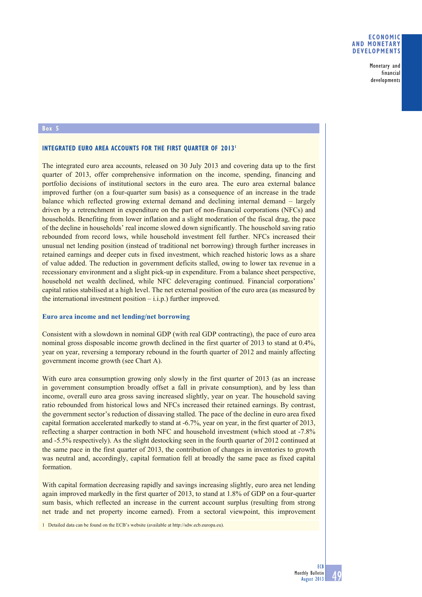# **ECONOMIC AND MONETARY DEVELOPMENTS**

Monetary and financial developments

## **Box 5**

### **INTEGRATED EURO AREA ACCOUNTS FOR THE FIRST QUARTER OF 2013<sup>1</sup>**

The integrated euro area accounts, released on 30 July 2013 and covering data up to the first quarter of 2013, offer comprehensive information on the income, spending, financing and portfolio decisions of institutional sectors in the euro area. The euro area external balance improved further (on a four-quarter sum basis) as a consequence of an increase in the trade balance which reflected growing external demand and declining internal demand – largely driven by a retrenchment in expenditure on the part of non-financial corporations (NFCs) and households. Benefiting from lower inflation and a slight moderation of the fiscal drag, the pace of the decline in households' real income slowed down significantly. The household saving ratio rebounded from record lows, while household investment fell further. NFCs increased their unusual net lending position (instead of traditional net borrowing) through further increases in retained earnings and deeper cuts in fixed investment, which reached historic lows as a share of value added. The reduction in government deficits stalled, owing to lower tax revenue in a recessionary environment and a slight pick-up in expenditure. From a balance sheet perspective, household net wealth declined, while NFC deleveraging continued. Financial corporations' capital ratios stabilised at a high level. The net external position of the euro area (as measured by the international investment position  $-i.i.p.$ ) further improved.

### **Euro area income and net lending/net borrowing**

Consistent with a slowdown in nominal GDP (with real GDP contracting), the pace of euro area nominal gross disposable income growth declined in the first quarter of 2013 to stand at 0.4%, year on year, reversing a temporary rebound in the fourth quarter of 2012 and mainly affecting government income growth (see Chart A).

With euro area consumption growing only slowly in the first quarter of 2013 (as an increase in government consumption broadly offset a fall in private consumption), and by less than income, overall euro area gross saving increased slightly, year on year. The household saving ratio rebounded from historical lows and NFCs increased their retained earnings. By contrast, the government sector's reduction of dissaving stalled. The pace of the decline in euro area fixed capital formation accelerated markedly to stand at -6.7%, year on year, in the first quarter of 2013, reflecting a sharper contraction in both NFC and household investment (which stood at -7.8% and -5.5% respectively). As the slight destocking seen in the fourth quarter of 2012 continued at the same pace in the first quarter of 2013, the contribution of changes in inventories to growth was neutral and, accordingly, capital formation fell at broadly the same pace as fixed capital formation.

With capital formation decreasing rapidly and savings increasing slightly, euro area net lending again improved markedly in the first quarter of 2013, to stand at 1.8% of GDP on a four-quarter sum basis, which reflected an increase in the current account surplus (resulting from strong net trade and net property income earned). From a sectoral viewpoint, this improvement

1 Detailed data can be found on the ECB's website (available at http://sdw.ecb.europa.eu).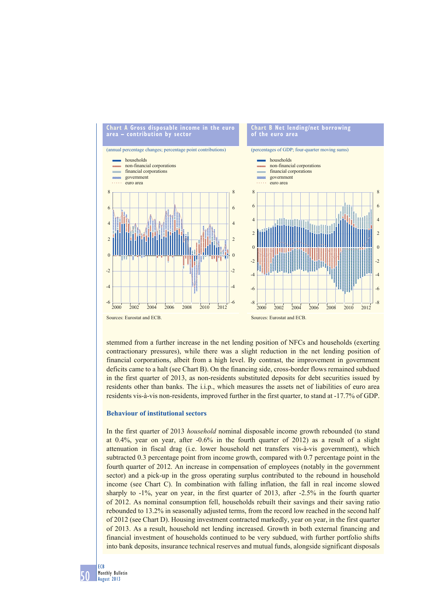

stemmed from a further increase in the net lending position of NFCs and households (exerting contractionary pressures), while there was a slight reduction in the net lending position of financial corporations, albeit from a high level. By contrast, the improvement in government deficits came to a halt (see Chart B). On the financing side, cross-border flows remained subdued in the first quarter of 2013, as non-residents substituted deposits for debt securities issued by residents other than banks. The i.i.p., which measures the assets net of liabilities of euro area residents vis-à-vis non-residents, improved further in the first quarter, to stand at -17.7% of GDP.

### **Behaviour of institutional sectors**

In the first quarter of 2013 *household* nominal disposable income growth rebounded (to stand at  $0.4\%$ , year on year, after  $-0.6\%$  in the fourth quarter of 2012) as a result of a slight attenuation in fiscal drag (i.e. lower household net transfers vis-à-vis government), which subtracted 0.3 percentage point from income growth, compared with 0.7 percentage point in the fourth quarter of 2012. An increase in compensation of employees (notably in the government sector) and a pick-up in the gross operating surplus contributed to the rebound in household income (see Chart C). In combination with falling inflation, the fall in real income slowed sharply to -1%, year on year, in the first quarter of 2013, after -2.5% in the fourth quarter of 2012. As nominal consumption fell, households rebuilt their savings and their saving ratio rebounded to 13.2% in seasonally adjusted terms, from the record low reached in the second half of 2012 (see Chart D). Housing investment contracted markedly, year on year, in the first quarter of 2013. As a result, household net lending increased. Growth in both external financing and financial investment of households continued to be very subdued, with further portfolio shifts into bank deposits, insurance technical reserves and mutual funds, alongside significant disposals

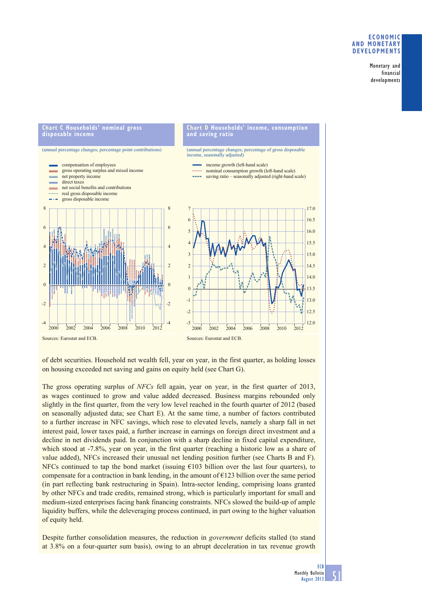# **ECONOMIC AND MONETARY DEVELOPMENTS**

Monetary and financial developments



of debt securities. Household net wealth fell, year on year, in the first quarter, as holding losses on housing exceeded net saving and gains on equity held (see Chart G).

The gross operating surplus of *NFCs* fell again, year on year, in the first quarter of 2013, as wages continued to grow and value added decreased. Business margins rebounded only slightly in the first quarter, from the very low level reached in the fourth quarter of 2012 (based on seasonally adjusted data; see Chart E). At the same time, a number of factors contributed to a further increase in NFC savings, which rose to elevated levels, namely a sharp fall in net interest paid, lower taxes paid, a further increase in earnings on foreign direct investment and a decline in net dividends paid. In conjunction with a sharp decline in fixed capital expenditure, which stood at -7.8%, year on year, in the first quarter (reaching a historic low as a share of value added), NFCs increased their unusual net lending position further (see Charts B and F). NFCs continued to tap the bond market (issuing  $\epsilon$ 103 billion over the last four quarters), to compensate for a contraction in bank lending, in the amount of  $\epsilon$ 123 billion over the same period (in part reflecting bank restructuring in Spain). Intra-sector lending, comprising loans granted by other NFCs and trade credits, remained strong, which is particularly important for small and medium-sized enterprises facing bank financing constraints. NFCs slowed the build-up of ample liquidity buffers, while the deleveraging process continued, in part owing to the higher valuation of equity held.

Despite further consolidation measures, the reduction in *government* deficits stalled (to stand at 3.8% on a four-quarter sum basis), owing to an abrupt deceleration in tax revenue growth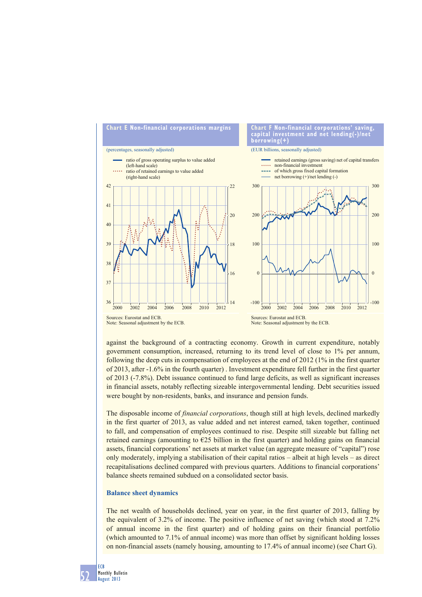

against the background of a contracting economy. Growth in current expenditure, notably government consumption, increased, returning to its trend level of close to 1% per annum, following the deep cuts in compensation of employees at the end of 2012 (1% in the first quarter of 2013, after -1.6% in the fourth quarter) . Investment expenditure fell further in the first quarter of 2013 (-7.8%). Debt issuance continued to fund large deficits, as well as significant increases in financial assets, notably reflecting sizeable intergovernmental lending. Debt securities issued were bought by non-residents, banks, and insurance and pension funds.

The disposable income of *financial corporations*, though still at high levels, declined markedly in the first quarter of 2013, as value added and net interest earned, taken together, continued to fall, and compensation of employees continued to rise. Despite still sizeable but falling net retained earnings (amounting to  $E25$  billion in the first quarter) and holding gains on financial assets, financial corporations' net assets at market value (an aggregate measure of "capital") rose only moderately, implying a stabilisation of their capital ratios – albeit at high levels – as direct recapitalisations declined compared with previous quarters. Additions to financial corporations' balance sheets remained subdued on a consolidated sector basis.

#### **Balance sheet dynamics**

The net wealth of households declined, year on year, in the first quarter of 2013, falling by the equivalent of 3.2% of income. The positive influence of net saving (which stood at 7.2% of annual income in the first quarter) and of holding gains on their financial portfolio (which amounted to 7.1% of annual income) was more than offset by significant holding losses on non-financial assets (namely housing, amounting to 17.4% of annual income) (see Chart G).